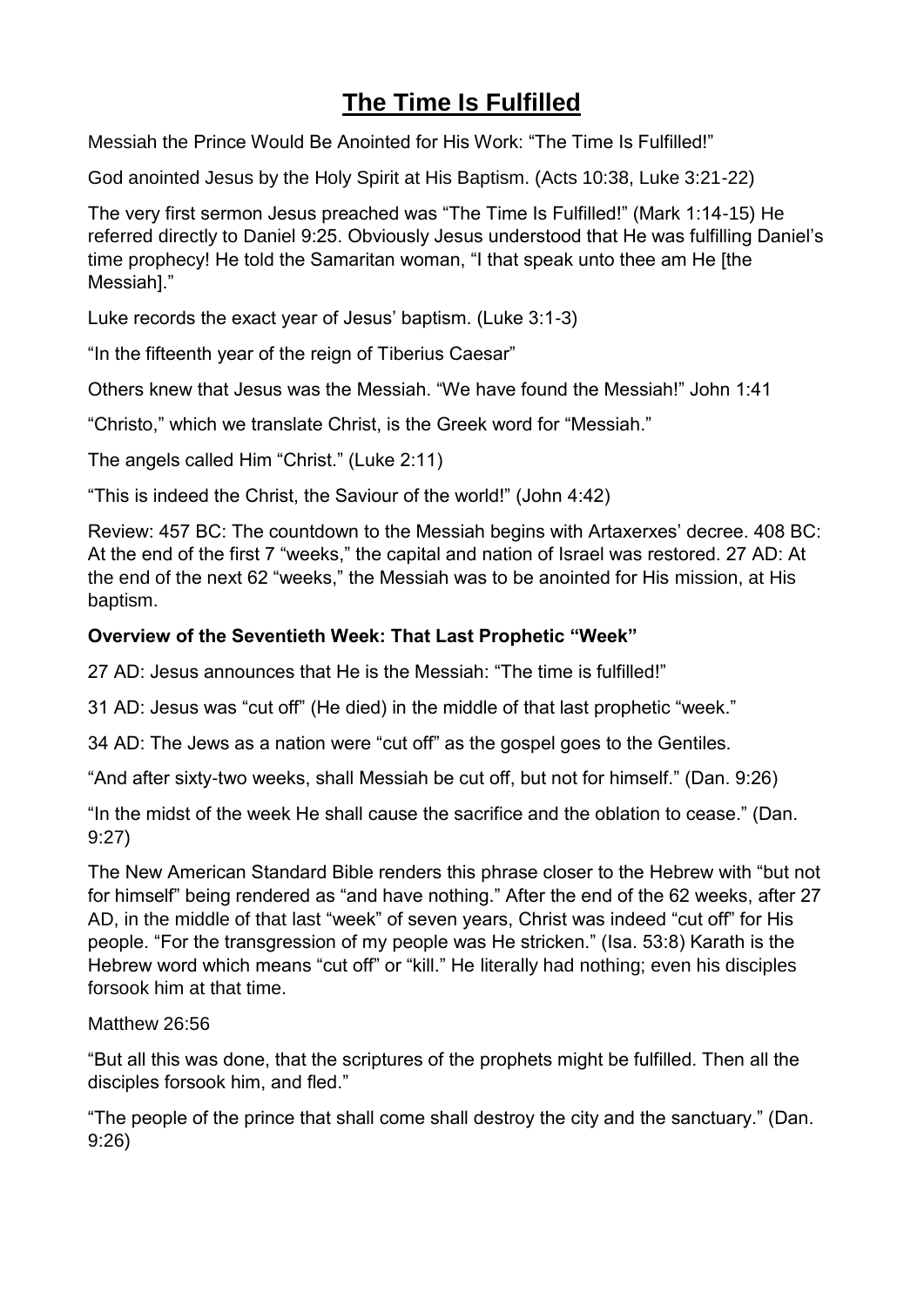# **The Time Is Fulfilled**

Messiah the Prince Would Be Anointed for His Work: "The Time Is Fulfilled!"

God anointed Jesus by the Holy Spirit at His Baptism. (Acts 10:38, Luke 3:21-22)

The very first sermon Jesus preached was "The Time Is Fulfilled!" (Mark 1:14-15) He referred directly to Daniel 9:25. Obviously Jesus understood that He was fulfilling Daniel's time prophecy! He told the Samaritan woman, "I that speak unto thee am He [the Messiah]."

Luke records the exact year of Jesus' baptism. (Luke 3:1-3)

"In the fifteenth year of the reign of Tiberius Caesar"

Others knew that Jesus was the Messiah. "We have found the Messiah!" John 1:41

"Christo," which we translate Christ, is the Greek word for "Messiah."

The angels called Him "Christ." (Luke 2:11)

"This is indeed the Christ, the Saviour of the world!" (John 4:42)

Review: 457 BC: The countdown to the Messiah begins with Artaxerxes' decree. 408 BC: At the end of the first 7 "weeks," the capital and nation of Israel was restored. 27 AD: At the end of the next 62 "weeks," the Messiah was to be anointed for His mission, at His baptism.

## **Overview of the Seventieth Week: That Last Prophetic "Week"**

27 AD: Jesus announces that He is the Messiah: "The time is fulfilled!"

31 AD: Jesus was "cut off" (He died) in the middle of that last prophetic "week."

34 AD: The Jews as a nation were "cut off" as the gospel goes to the Gentiles.

"And after sixty-two weeks, shall Messiah be cut off, but not for himself." (Dan. 9:26)

"In the midst of the week He shall cause the sacrifice and the oblation to cease." (Dan. 9:27)

The New American Standard Bible renders this phrase closer to the Hebrew with "but not for himself" being rendered as "and have nothing." After the end of the 62 weeks, after 27 AD, in the middle of that last "week" of seven years, Christ was indeed "cut off" for His people. "For the transgression of my people was He stricken." (Isa. 53:8) Karath is the Hebrew word which means "cut off" or "kill." He literally had nothing; even his disciples forsook him at that time.

#### Matthew 26:56

"But all this was done, that the scriptures of the prophets might be fulfilled. Then all the disciples forsook him, and fled."

"The people of the prince that shall come shall destroy the city and the sanctuary." (Dan. 9:26)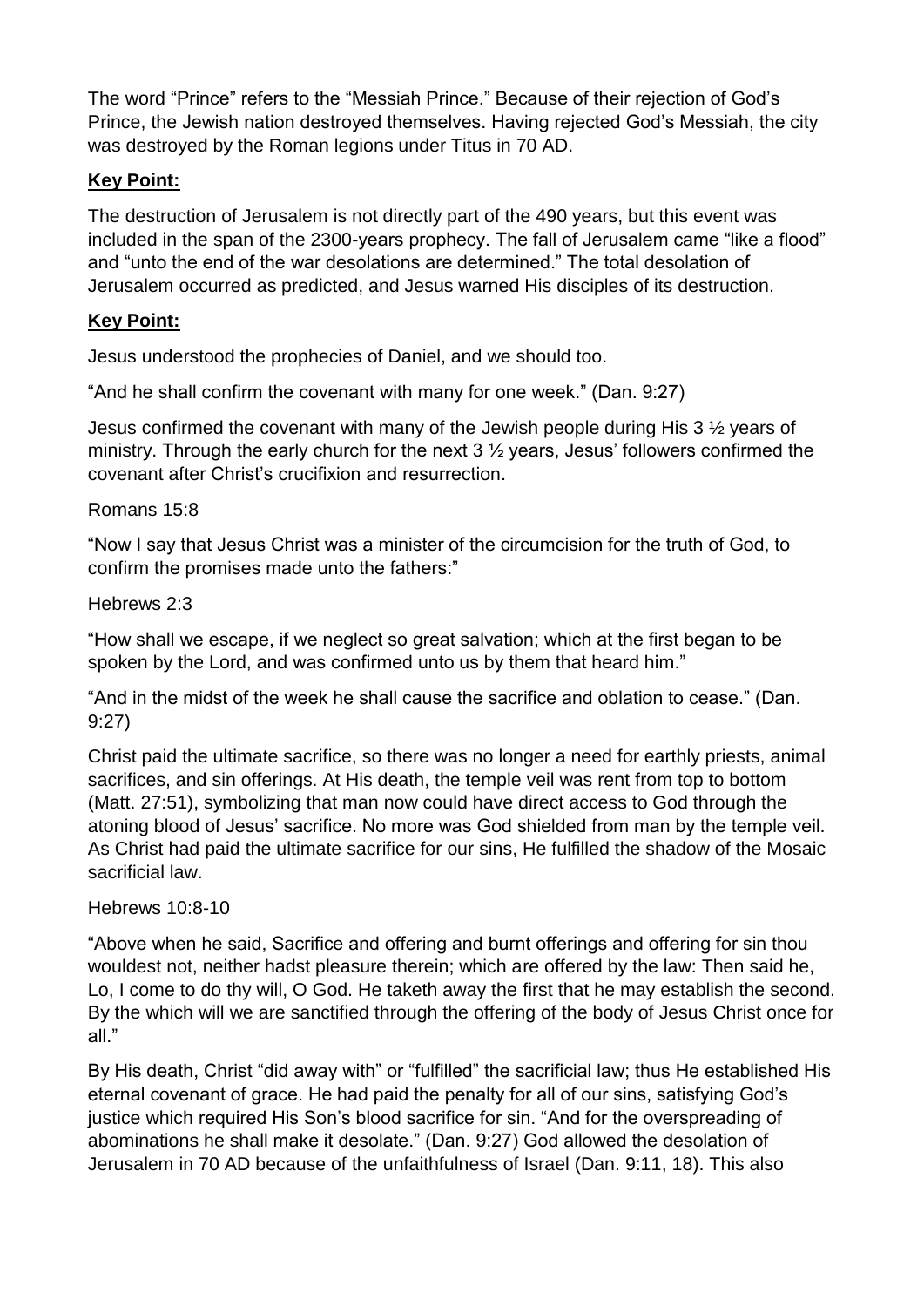The word "Prince" refers to the "Messiah Prince." Because of their rejection of God's Prince, the Jewish nation destroyed themselves. Having rejected God's Messiah, the city was destroyed by the Roman legions under Titus in 70 AD.

## **Key Point:**

The destruction of Jerusalem is not directly part of the 490 years, but this event was included in the span of the 2300-years prophecy. The fall of Jerusalem came "like a flood" and "unto the end of the war desolations are determined." The total desolation of Jerusalem occurred as predicted, and Jesus warned His disciples of its destruction.

### **Key Point:**

Jesus understood the prophecies of Daniel, and we should too.

"And he shall confirm the covenant with many for one week." (Dan. 9:27)

Jesus confirmed the covenant with many of the Jewish people during His 3 ½ years of ministry. Through the early church for the next  $3\frac{1}{2}$  years, Jesus' followers confirmed the covenant after Christ's crucifixion and resurrection.

#### Romans 15:8

"Now I say that Jesus Christ was a minister of the circumcision for the truth of God, to confirm the promises made unto the fathers:"

Hebrews 2:3

"How shall we escape, if we neglect so great salvation; which at the first began to be spoken by the Lord, and was confirmed unto us by them that heard him."

"And in the midst of the week he shall cause the sacrifice and oblation to cease." (Dan. 9:27)

Christ paid the ultimate sacrifice, so there was no longer a need for earthly priests, animal sacrifices, and sin offerings. At His death, the temple veil was rent from top to bottom (Matt. 27:51), symbolizing that man now could have direct access to God through the atoning blood of Jesus' sacrifice. No more was God shielded from man by the temple veil. As Christ had paid the ultimate sacrifice for our sins, He fulfilled the shadow of the Mosaic sacrificial law.

#### Hebrews 10:8-10

"Above when he said, Sacrifice and offering and burnt offerings and offering for sin thou wouldest not, neither hadst pleasure therein; which are offered by the law: Then said he, Lo, I come to do thy will, O God. He taketh away the first that he may establish the second. By the which will we are sanctified through the offering of the body of Jesus Christ once for all."

By His death, Christ "did away with" or "fulfilled" the sacrificial law; thus He established His eternal covenant of grace. He had paid the penalty for all of our sins, satisfying God's justice which required His Son's blood sacrifice for sin. "And for the overspreading of abominations he shall make it desolate." (Dan. 9:27) God allowed the desolation of Jerusalem in 70 AD because of the unfaithfulness of Israel (Dan. 9:11, 18). This also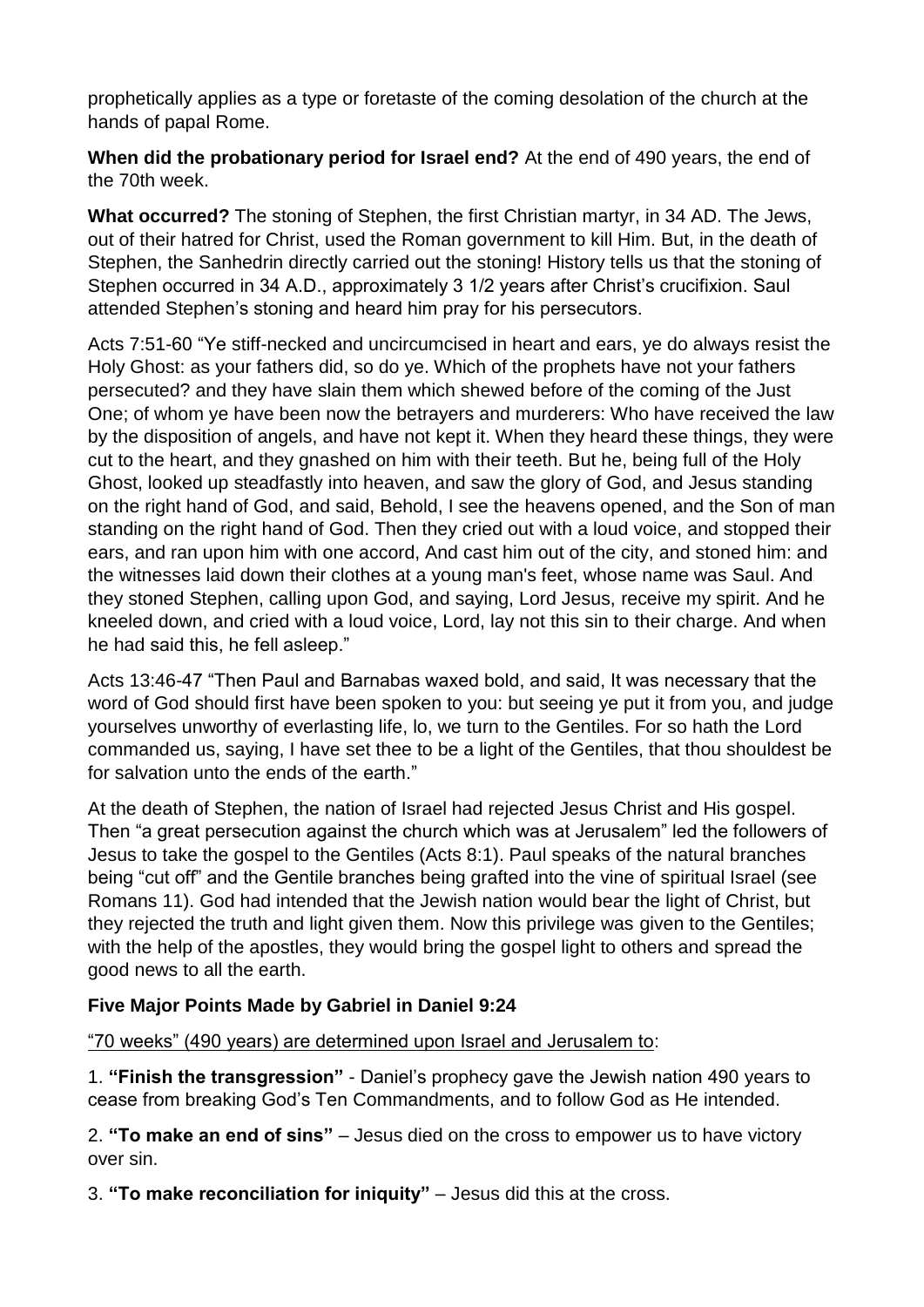prophetically applies as a type or foretaste of the coming desolation of the church at the hands of papal Rome.

**When did the probationary period for Israel end?** At the end of 490 years, the end of the 70th week.

**What occurred?** The stoning of Stephen, the first Christian martyr, in 34 AD. The Jews, out of their hatred for Christ, used the Roman government to kill Him. But, in the death of Stephen, the Sanhedrin directly carried out the stoning! History tells us that the stoning of Stephen occurred in 34 A.D., approximately 3 1/2 years after Christ's crucifixion. Saul attended Stephen's stoning and heard him pray for his persecutors.

Acts 7:51-60 "Ye stiff-necked and uncircumcised in heart and ears, ye do always resist the Holy Ghost: as your fathers did, so do ye. Which of the prophets have not your fathers persecuted? and they have slain them which shewed before of the coming of the Just One; of whom ye have been now the betrayers and murderers: Who have received the law by the disposition of angels, and have not kept it. When they heard these things, they were cut to the heart, and they gnashed on him with their teeth. But he, being full of the Holy Ghost, looked up steadfastly into heaven, and saw the glory of God, and Jesus standing on the right hand of God, and said, Behold, I see the heavens opened, and the Son of man standing on the right hand of God. Then they cried out with a loud voice, and stopped their ears, and ran upon him with one accord, And cast him out of the city, and stoned him: and the witnesses laid down their clothes at a young man's feet, whose name was Saul. And they stoned Stephen, calling upon God, and saying, Lord Jesus, receive my spirit. And he kneeled down, and cried with a loud voice, Lord, lay not this sin to their charge. And when he had said this, he fell asleep."

Acts 13:46-47 "Then Paul and Barnabas waxed bold, and said, It was necessary that the word of God should first have been spoken to you: but seeing ye put it from you, and judge yourselves unworthy of everlasting life, lo, we turn to the Gentiles. For so hath the Lord commanded us, saying, I have set thee to be a light of the Gentiles, that thou shouldest be for salvation unto the ends of the earth."

At the death of Stephen, the nation of Israel had rejected Jesus Christ and His gospel. Then "a great persecution against the church which was at Jerusalem" led the followers of Jesus to take the gospel to the Gentiles (Acts 8:1). Paul speaks of the natural branches being "cut off" and the Gentile branches being grafted into the vine of spiritual Israel (see Romans 11). God had intended that the Jewish nation would bear the light of Christ, but they rejected the truth and light given them. Now this privilege was given to the Gentiles; with the help of the apostles, they would bring the gospel light to others and spread the good news to all the earth.

#### **Five Major Points Made by Gabriel in Daniel 9:24**

"70 weeks" (490 years) are determined upon Israel and Jerusalem to:

1. **"Finish the transgression"** - Daniel's prophecy gave the Jewish nation 490 years to cease from breaking God's Ten Commandments, and to follow God as He intended.

2. **"To make an end of sins"** – Jesus died on the cross to empower us to have victory over sin.

3. **"To make reconciliation for iniquity"** – Jesus did this at the cross.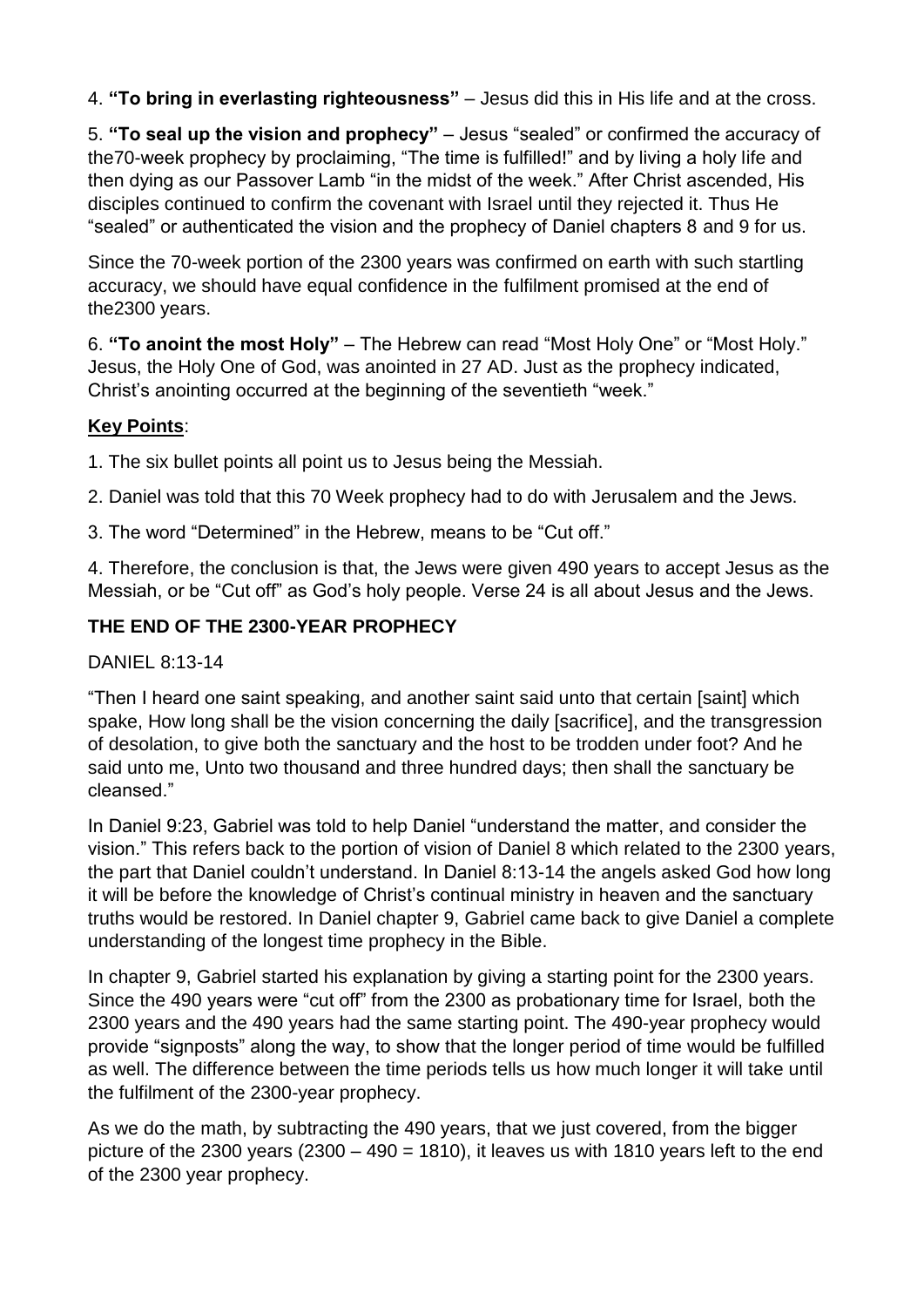4. **"To bring in everlasting righteousness"** – Jesus did this in His life and at the cross.

5. **"To seal up the vision and prophecy"** – Jesus "sealed" or confirmed the accuracy of the70-week prophecy by proclaiming, "The time is fulfilled!" and by living a holy life and then dying as our Passover Lamb "in the midst of the week." After Christ ascended, His disciples continued to confirm the covenant with Israel until they rejected it. Thus He "sealed" or authenticated the vision and the prophecy of Daniel chapters 8 and 9 for us.

Since the 70-week portion of the 2300 years was confirmed on earth with such startling accuracy, we should have equal confidence in the fulfilment promised at the end of the2300 years.

6. **"To anoint the most Holy"** – The Hebrew can read "Most Holy One" or "Most Holy." Jesus, the Holy One of God, was anointed in 27 AD. Just as the prophecy indicated, Christ's anointing occurred at the beginning of the seventieth "week."

#### **Key Points**:

1. The six bullet points all point us to Jesus being the Messiah.

2. Daniel was told that this 70 Week prophecy had to do with Jerusalem and the Jews.

3. The word "Determined" in the Hebrew, means to be "Cut off."

4. Therefore, the conclusion is that, the Jews were given 490 years to accept Jesus as the Messiah, or be "Cut off" as God's holy people. Verse 24 is all about Jesus and the Jews.

### **THE END OF THE 2300-YEAR PROPHECY**

DANIEL 8:13-14

"Then I heard one saint speaking, and another saint said unto that certain [saint] which spake, How long shall be the vision concerning the daily [sacrifice], and the transgression of desolation, to give both the sanctuary and the host to be trodden under foot? And he said unto me, Unto two thousand and three hundred days; then shall the sanctuary be cleansed."

In Daniel 9:23, Gabriel was told to help Daniel "understand the matter, and consider the vision." This refers back to the portion of vision of Daniel 8 which related to the 2300 years, the part that Daniel couldn't understand. In Daniel 8:13-14 the angels asked God how long it will be before the knowledge of Christ's continual ministry in heaven and the sanctuary truths would be restored. In Daniel chapter 9, Gabriel came back to give Daniel a complete understanding of the longest time prophecy in the Bible.

In chapter 9, Gabriel started his explanation by giving a starting point for the 2300 years. Since the 490 years were "cut off" from the 2300 as probationary time for Israel, both the 2300 years and the 490 years had the same starting point. The 490-year prophecy would provide "signposts" along the way, to show that the longer period of time would be fulfilled as well. The difference between the time periods tells us how much longer it will take until the fulfilment of the 2300-year prophecy.

As we do the math, by subtracting the 490 years, that we just covered, from the bigger picture of the 2300 years  $(2300 - 490 = 1810)$ , it leaves us with 1810 years left to the end of the 2300 year prophecy.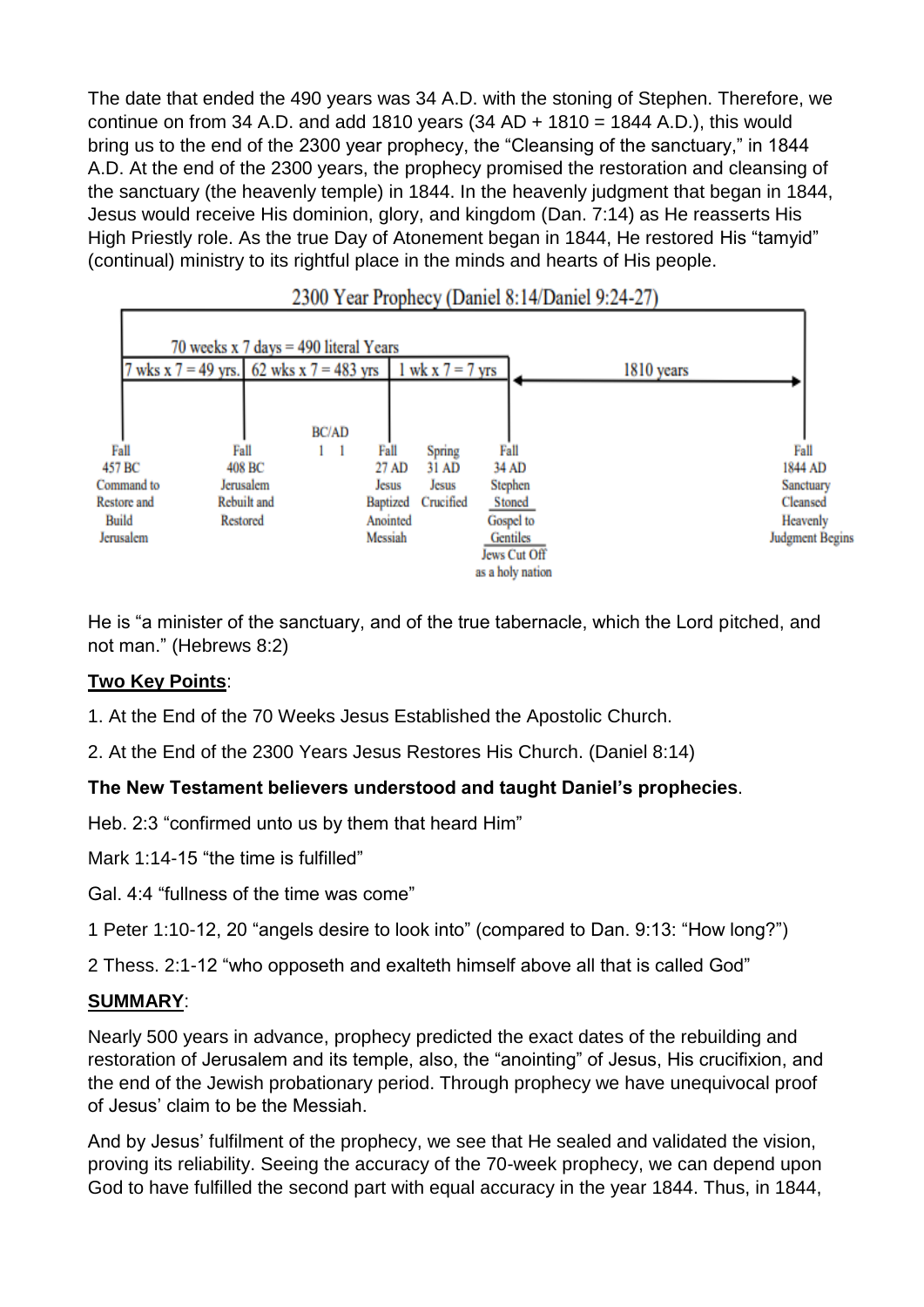The date that ended the 490 years was 34 A.D. with the stoning of Stephen. Therefore, we continue on from 34 A.D. and add 1810 years  $(34 AD + 1810 = 1844 A.D.)$ , this would bring us to the end of the 2300 year prophecy, the "Cleansing of the sanctuary," in 1844 A.D. At the end of the 2300 years, the prophecy promised the restoration and cleansing of the sanctuary (the heavenly temple) in 1844. In the heavenly judgment that began in 1844, Jesus would receive His dominion, glory, and kingdom (Dan. 7:14) as He reasserts His High Priestly role. As the true Day of Atonement began in 1844, He restored His "tamyid" (continual) ministry to its rightful place in the minds and hearts of His people.



2300 Year Prophecy (Daniel 8:14/Daniel 9:24-27)

He is "a minister of the sanctuary, and of the true tabernacle, which the Lord pitched, and not man." (Hebrews 8:2)

#### **Two Key Points**:

1. At the End of the 70 Weeks Jesus Established the Apostolic Church.

2. At the End of the 2300 Years Jesus Restores His Church. (Daniel 8:14)

#### **The New Testament believers understood and taught Daniel's prophecies**.

Heb. 2:3 "confirmed unto us by them that heard Him"

Mark 1:14-15 "the time is fulfilled"

Gal. 4:4 "fullness of the time was come"

1 Peter 1:10-12, 20 "angels desire to look into" (compared to Dan. 9:13: "How long?")

2 Thess. 2:1-12 "who opposeth and exalteth himself above all that is called God"

#### **SUMMARY**:

Nearly 500 years in advance, prophecy predicted the exact dates of the rebuilding and restoration of Jerusalem and its temple, also, the "anointing" of Jesus, His crucifixion, and the end of the Jewish probationary period. Through prophecy we have unequivocal proof of Jesus' claim to be the Messiah.

And by Jesus' fulfilment of the prophecy, we see that He sealed and validated the vision, proving its reliability. Seeing the accuracy of the 70-week prophecy, we can depend upon God to have fulfilled the second part with equal accuracy in the year 1844. Thus, in 1844,